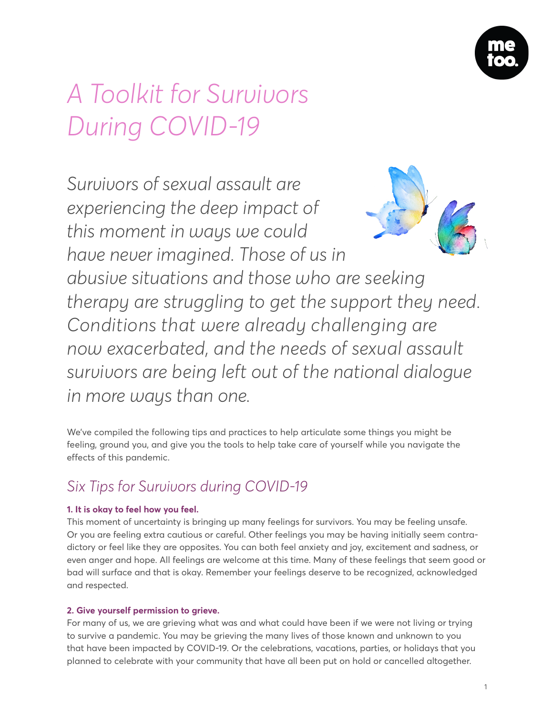

# *A Toolkit for Survivors During COVID-19*

*Survivors of sexual assault are experiencing the deep impact of this moment in ways we could have never imagined. Those of us in* 



*abusive situations and those who are seeking therapy are struggling to get the support they need. Conditions that were already challenging are now exacerbated, and the needs of sexual assault survivors are being left out of the national dialogue in more ways than one.* 

We've compiled the following tips and practices to help articulate some things you might be feeling, ground you, and give you the tools to help take care of yourself while you navigate the effects of this pandemic.

# *Six Tips for Survivors during COVID-19*

# **1. It is okay to feel how you feel.**

This moment of uncertainty is bringing up many feelings for survivors. You may be feeling unsafe. Or you are feeling extra cautious or careful. Other feelings you may be having initially seem contradictory or feel like they are opposites. You can both feel anxiety and joy, excitement and sadness, or even anger and hope. All feelings are welcome at this time. Many of these feelings that seem good or bad will surface and that is okay. Remember your feelings deserve to be recognized, acknowledged and respected.

# **2. Give yourself permission to grieve.**

For many of us, we are grieving what was and what could have been if we were not living or trying to survive a pandemic. You may be grieving the many lives of those known and unknown to you that have been impacted by COVID-19. Or the celebrations, vacations, parties, or holidays that you planned to celebrate with your community that have all been put on hold or cancelled altogether.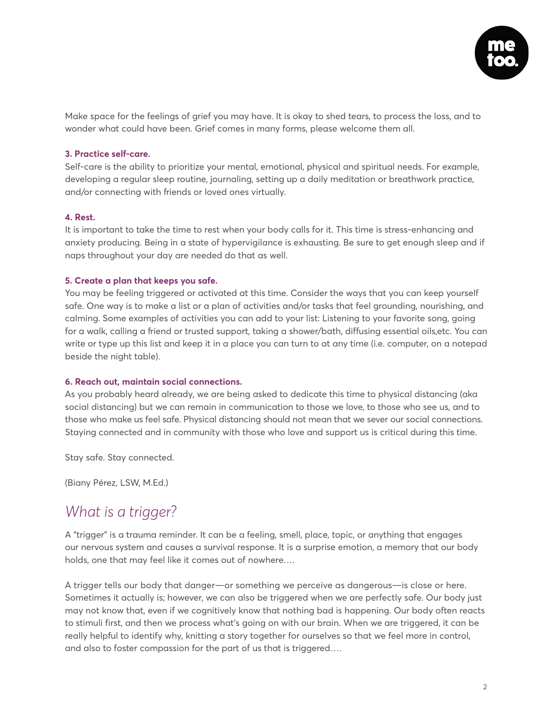

Make space for the feelings of grief you may have. It is okay to shed tears, to process the loss, and to wonder what could have been. Grief comes in many forms, please welcome them all.

#### **3. Practice self-care.**

Self-care is the ability to prioritize your mental, emotional, physical and spiritual needs. For example, developing a regular sleep routine, journaling, setting up a daily meditation or breathwork practice, and/or connecting with friends or loved ones virtually.

#### **4. Rest.**

It is important to take the time to rest when your body calls for it. This time is stress-enhancing and anxiety producing. Being in a state of hypervigilance is exhausting. Be sure to get enough sleep and if naps throughout your day are needed do that as well.

### **5. Create a plan that keeps you safe.**

You may be feeling triggered or activated at this time. Consider the ways that you can keep yourself safe. One way is to make a list or a plan of activities and/or tasks that feel grounding, nourishing, and calming. Some examples of activities you can add to your list: Listening to your favorite song, going for a walk, calling a friend or trusted support, taking a shower/bath, diffusing essential oils,etc. You can write or type up this list and keep it in a place you can turn to at any time (i.e. computer, on a notepad beside the night table).

#### **6. Reach out, maintain social connections.**

As you probably heard already, we are being asked to dedicate this time to physical distancing (aka social distancing) but we can remain in communication to those we love, to those who see us, and to those who make us feel safe. Physical distancing should not mean that we sever our social connections. Staying connected and in community with those who love and support us is critical during this time.

Stay safe. Stay connected.

(Biany Pérez, LSW, M.Ed.)

# *[What is a trigger?](https://docs.google.com/document/d/1O-htNT5-aCDKWWQPVZloogNxnOtoKVKyhYkZD4kw2wA/edit)*

A "trigger" is a trauma reminder. It can be a feeling, smell, place, topic, or anything that engages our nervous system and causes a survival response. It is a surprise emotion, a memory that our body holds, one that may feel like it comes out of nowhere….

A trigger tells our body that danger—or something we perceive as dangerous—is close or here. Sometimes it actually is; however, we can also be triggered when we are perfectly safe. Our body just may not know that, even if we cognitively know that nothing bad is happening. Our body often reacts to stimuli first, and then we process what's going on with our brain. When we are triggered, it can be really helpful to identify why, knitting a story together for ourselves so that we feel more in control, and also to foster compassion for the part of us that is triggered….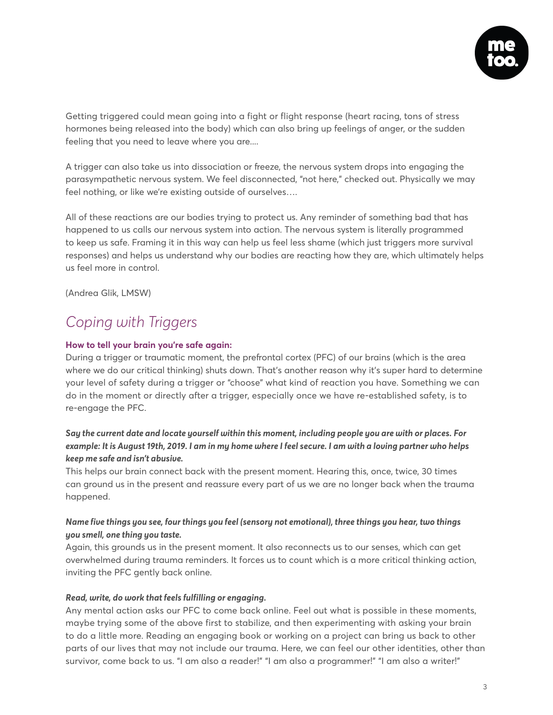

Getting triggered could mean going into a fight or flight response (heart racing, tons of stress hormones being released into the body) which can also bring up feelings of anger, or the sudden feeling that you need to leave where you are....

A trigger can also take us into dissociation or freeze, the nervous system drops into engaging the parasympathetic nervous system. We feel disconnected, "not here," checked out. Physically we may feel nothing, or like we're existing outside of ourselves….

All of these reactions are our bodies trying to protect us. Any reminder of something bad that has happened to us calls our nervous system into action. The nervous system is literally programmed to keep us safe. Framing it in this way can help us feel less shame (which just triggers more survival responses) and helps us understand why our bodies are reacting how they are, which ultimately helps us feel more in control.

(Andrea Glik, LMSW)

# *[Coping with Triggers](https://docs.google.com/document/d/1AMWGy1wMp1vv6x1637VCNdJkfPvd7yU1O5oeByafPv0/edit?pli=1)*

### **How to tell your brain you're safe again:**

During a trigger or traumatic moment, the prefrontal cortex (PFC) of our brains (which is the area where we do our critical thinking) shuts down. That's another reason why it's super hard to determine your level of safety during a trigger or "choose" what kind of reaction you have. Something we can do in the moment or directly after a trigger, especially once we have re-established safety, is to re-engage the PFC.

# *Say the current date and locate yourself within this moment, including people you are with or places. For example: It is August 19th, 2019. I am in my home where I feel secure. I am with a loving partner who helps keep me safe and isn't abusive.*

This helps our brain connect back with the present moment. Hearing this, once, twice, 30 times can ground us in the present and reassure every part of us we are no longer back when the trauma happened.

# *Name five things you see, four things you feel (sensory not emotional), three things you hear, two things you smell, one thing you taste.*

Again, this grounds us in the present moment. It also reconnects us to our senses, which can get overwhelmed during trauma reminders. It forces us to count which is a more critical thinking action, inviting the PFC gently back online.

#### *Read, write, do work that feels fulfilling or engaging.*

Any mental action asks our PFC to come back online. Feel out what is possible in these moments, maybe trying some of the above first to stabilize, and then experimenting with asking your brain to do a little more. Reading an engaging book or working on a project can bring us back to other parts of our lives that may not include our trauma. Here, we can feel our other identities, other than survivor, come back to us. "I am also a reader!" "I am also a programmer!" "I am also a writer!"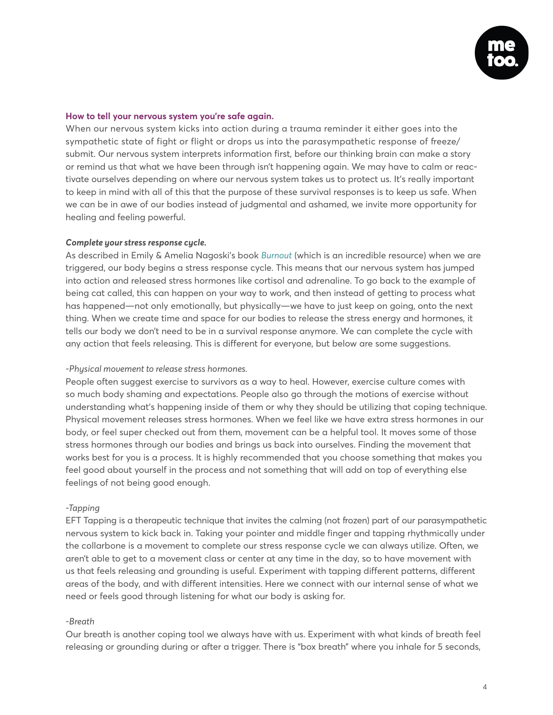

#### **How to tell your nervous system you're safe again.**

When our nervous system kicks into action during a trauma reminder it either goes into the sympathetic state of fight or flight or drops us into the parasympathetic response of freeze/ submit. Our nervous system interprets information first, before our thinking brain can make a story or remind us that what we have been through isn't happening again. We may have to calm or reactivate ourselves depending on where our nervous system takes us to protect us. It's really important to keep in mind with all of this that the purpose of these survival responses is to keep us safe. When we can be in awe of our bodies instead of judgmental and ashamed, we invite more opportunity for healing and feeling powerful.

#### *Complete your stress response cycle.*

As described in Emily & Amelia Nagoski's book *[Burnout](https://bookshop.org/books/burnout-the-secret-to-unlocking-the-stress-cycle/9781984817068)* (which is an incredible resource) when we are triggered, our body begins a stress response cycle. This means that our nervous system has jumped into action and released stress hormones like cortisol and adrenaline. To go back to the example of being cat called, this can happen on your way to work, and then instead of getting to process what has happened—not only emotionally, but physically—we have to just keep on going, onto the next thing. When we create time and space for our bodies to release the stress energy and hormones, it tells our body we don't need to be in a survival response anymore. We can complete the cycle with any action that feels releasing. This is different for everyone, but below are some suggestions.

#### *-Physical movement to release stress hormones.*

People often suggest exercise to survivors as a way to heal. However, exercise culture comes with so much body shaming and expectations. People also go through the motions of exercise without understanding what's happening inside of them or why they should be utilizing that coping technique. Physical movement releases stress hormones. When we feel like we have extra stress hormones in our body, or feel super checked out from them, movement can be a helpful tool. It moves some of those stress hormones through our bodies and brings us back into ourselves. Finding the movement that works best for you is a process. It is highly recommended that you choose something that makes you feel good about yourself in the process and not something that will add on top of everything else feelings of not being good enough.

#### *-Tapping*

EFT Tapping is a therapeutic technique that invites the calming (not frozen) part of our parasympathetic nervous system to kick back in. Taking your pointer and middle finger and tapping rhythmically under the collarbone is a movement to complete our stress response cycle we can always utilize. Often, we aren't able to get to a movement class or center at any time in the day, so to have movement with us that feels releasing and grounding is useful. Experiment with tapping different patterns, different areas of the body, and with different intensities. Here we connect with our internal sense of what we need or feels good through listening for what our body is asking for.

#### *-Breath*

Our breath is another coping tool we always have with us. Experiment with what kinds of breath feel releasing or grounding during or after a trigger. There is "box breath" where you inhale for 5 seconds,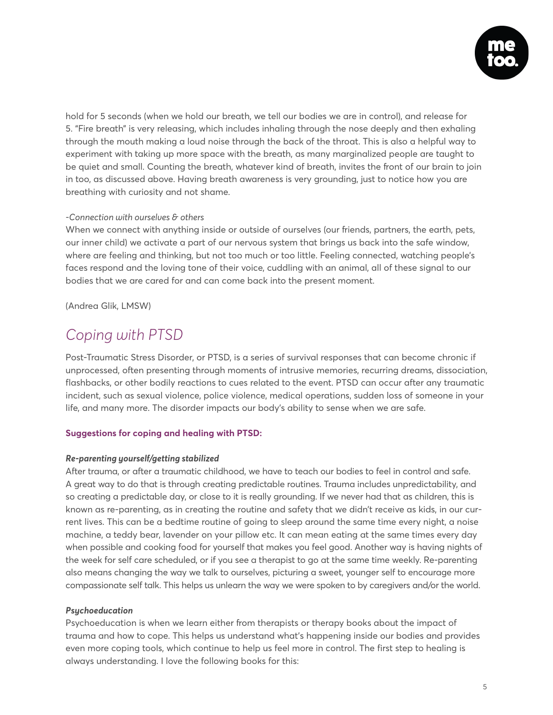

hold for 5 seconds (when we hold our breath, we tell our bodies we are in control), and release for 5. "Fire breath" is very releasing, which includes inhaling through the nose deeply and then exhaling through the mouth making a loud noise through the back of the throat. This is also a helpful way to experiment with taking up more space with the breath, as many marginalized people are taught to be quiet and small. Counting the breath, whatever kind of breath, invites the front of our brain to join in too, as discussed above. Having breath awareness is very grounding, just to notice how you are breathing with curiosity and not shame.

#### *-Connection with ourselves & others*

When we connect with anything inside or outside of ourselves (our friends, partners, the earth, pets, our inner child) we activate a part of our nervous system that brings us back into the safe window, where are feeling and thinking, but not too much or too little. Feeling connected, watching people's faces respond and the loving tone of their voice, cuddling with an animal, all of these signal to our bodies that we are cared for and can come back into the present moment.

(Andrea Glik, LMSW)

# *[Coping with PTSD](https://docs.google.com/document/d/1TvoJhoucYLcZvkK6-RqzJHn8OI2PaheN0UOgV-UhgZw/edit)*

Post-Traumatic Stress Disorder, or PTSD, is a series of survival responses that can become chronic if unprocessed, often presenting through moments of intrusive memories, recurring dreams, dissociation, flashbacks, or other bodily reactions to cues related to the event. PTSD can occur after any traumatic incident, such as sexual violence, police violence, medical operations, sudden loss of someone in your life, and many more. The disorder impacts our body's ability to sense when we are safe.

# **Suggestions for coping and healing with PTSD:**

#### *Re-parenting yourself/getting stabilized*

After trauma, or after a traumatic childhood, we have to teach our bodies to feel in control and safe. A great way to do that is through creating predictable routines. Trauma includes unpredictability, and so creating a predictable day, or close to it is really grounding. If we never had that as children, this is known as re-parenting, as in creating the routine and safety that we didn't receive as kids, in our current lives. This can be a bedtime routine of going to sleep around the same time every night, a noise machine, a teddy bear, lavender on your pillow etc. It can mean eating at the same times every day when possible and cooking food for yourself that makes you feel good. Another way is having nights of the week for self care scheduled, or if you see a therapist to go at the same time weekly. Re-parenting also means changing the way we talk to ourselves, picturing a sweet, younger self to encourage more compassionate self talk. This helps us unlearn the way we were spoken to by caregivers and/or the world.

# *Psychoeducation*

Psychoeducation is when we learn either from therapists or therapy books about the impact of trauma and how to cope. This helps us understand what's happening inside our bodies and provides even more coping tools, which continue to help us feel more in control. The first step to healing is always understanding. I love the following books for this: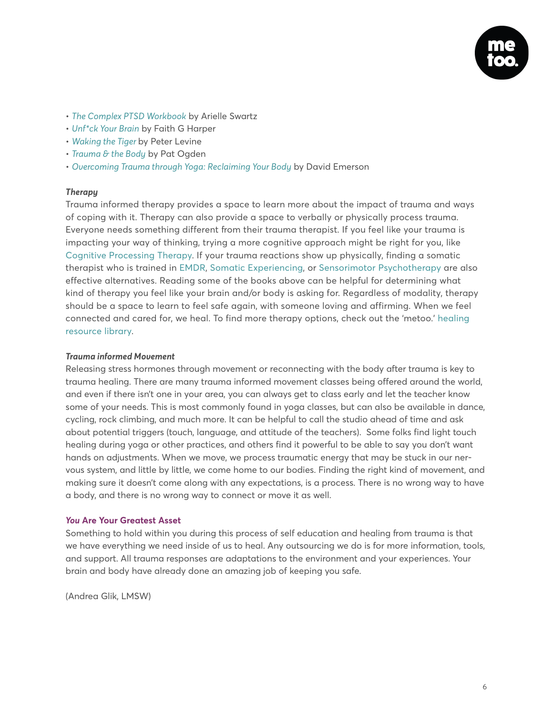

- *[The Complex PTSD Workbook](https://www.goodreads.com/book/show/33827765-the-complex-ptsd-workbook)* by Arielle Swartz
- *[Unf\\*ck Your Brain](https://www.goodreads.com/book/show/38621904-unf-ck-your-brain?from_search=true)* by Faith G Harper
- *[Waking the Tiger](https://www.goodreads.com/book/show/384924.Waking_the_Tiger?from_search=true)* by Peter Levine
- *[Trauma & the Body](https://www.goodreads.com/book/show/244432.Trauma_and_the_Body?ac=1&from_search=true)* by Pat Ogden
- *[Overcoming Trauma through Yoga: Reclaiming Your Body](https://www.goodreads.com/book/show/8991101-overcoming-trauma-through-yoga?ac=1&from_search=true)* by David Emerson

#### *Therapy*

Trauma informed therapy provides a space to learn more about the impact of trauma and ways of coping with it. Therapy can also provide a space to verbally or physically process trauma. Everyone needs something different from their trauma therapist. If you feel like your trauma is impacting your way of thinking, trying a more cognitive approach might be right for you, like [Cognitive Processing Therapy.](https://www.apa.org/ptsd-guideline/treatments/cognitive-processing-therapy) If your trauma reactions show up physically, finding a somatic therapist who is trained in [EMDR,](https://www.emdr.com/what-is-emdr/) [Somatic Experiencing,](https://traumahealing.org/about-us/) or [Sensorimotor Psychotherapy](https://www.sensorimotorpsychotherapy.org/about.html) are also effective alternatives. Reading some of the books above can be helpful for determining what kind of therapy you feel like your brain and/or body is asking for. Regardless of modality, therapy should be a space to learn to feel safe again, with someone loving and affirming. When we feel connected and cared for, we heal. To find more therapy options, check out the 'metoo.' [healing](https://metoomvmt.org/healing-resources-library/)  [resource library.](https://metoomvmt.org/healing-resources-library/)

#### *Trauma informed Movement*

Releasing stress hormones through movement or reconnecting with the body after trauma is key to trauma healing. There are many trauma informed movement classes being offered around the world, and even if there isn't one in your area, you can always get to class early and let the teacher know some of your needs. This is most commonly found in yoga classes, but can also be available in dance, cycling, rock climbing, and much more. It can be helpful to call the studio ahead of time and ask about potential triggers (touch, language, and attitude of the teachers). Some folks find light touch healing during yoga or other practices, and others find it powerful to be able to say you don't want hands on adjustments. When we move, we process traumatic energy that may be stuck in our nervous system, and little by little, we come home to our bodies. Finding the right kind of movement, and making sure it doesn't come along with any expectations, is a process. There is no wrong way to have a body, and there is no wrong way to connect or move it as well.

#### *You* **Are Your Greatest Asset**

Something to hold within you during this process of self education and healing from trauma is that we have everything we need inside of us to heal. Any outsourcing we do is for more information, tools, and support. All trauma responses are adaptations to the environment and your experiences. Your brain and body have already done an amazing job of keeping you safe.

(Andrea Glik, LMSW)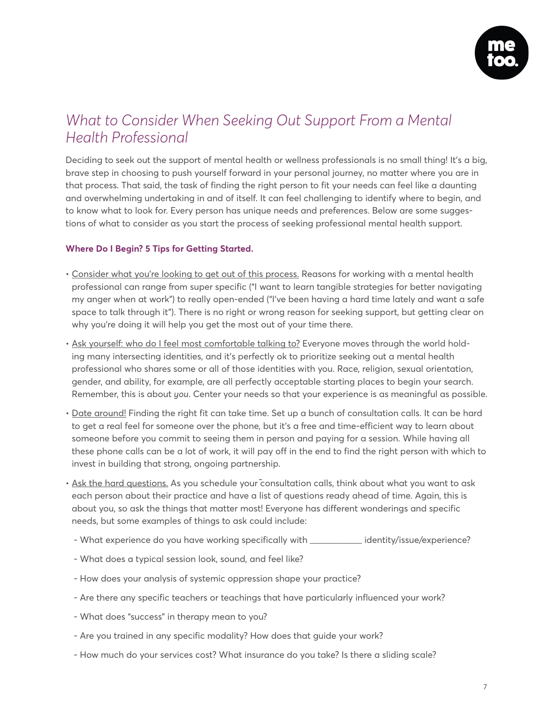

# *[What to Consider When Seeking Out Support From a Mental](https://docs.google.com/document/d/1-Bvwsyt20GLC1eJxMYFiJv_aE4Pi1nqjFXvmw_ZU3pw/edit)  [Health Professional](https://docs.google.com/document/d/1-Bvwsyt20GLC1eJxMYFiJv_aE4Pi1nqjFXvmw_ZU3pw/edit)*

Deciding to seek out the support of mental health or wellness professionals is no small thing! It's a big, brave step in choosing to push yourself forward in your personal journey, no matter where you are in that process. That said, the task of finding the right person to fit your needs can feel like a daunting and overwhelming undertaking in and of itself. It can feel challenging to identify where to begin, and to know what to look for. Every person has unique needs and preferences. Below are some suggestions of what to consider as you start the process of seeking professional mental health support.

# **Where Do I Begin? 5 Tips for Getting Started.**

- Consider what you're looking to get out of this process. Reasons for working with a mental health professional can range from super specific ("I want to learn tangible strategies for better navigating my anger when at work") to really open-ended ("I've been having a hard time lately and want a safe space to talk through it"). There is no right or wrong reason for seeking support, but getting clear on why you're doing it will help you get the most out of your time there.
- Ask yourself: who do I feel most comfortable talking to? Everyone moves through the world holding many intersecting identities, and it's perfectly ok to prioritize seeking out a mental health professional who shares some or all of those identities with you. Race, religion, sexual orientation, gender, and ability, for example, are all perfectly acceptable starting places to begin your search. Remember, this is about *you*. Center your needs so that your experience is as meaningful as possible.
- Date around! Finding the right fit can take time. Set up a bunch of consultation calls. It can be hard to get a real feel for someone over the phone, but it's a free and time-efficient way to learn about someone before you commit to seeing them in person and paying for a session. While having all these phone calls can be a lot of work, it will pay off in the end to find the right person with which to invest in building that strong, ongoing partnership.
- Ask the hard questions. As you schedule your consultation calls, think about what you want to ask each person about their practice and have a list of questions ready ahead of time. Again, this is about you, so ask the things that matter most! Everyone has different wonderings and specific needs, but some examples of things to ask could include:
- What experience do you have working specifically with \_\_\_\_\_\_\_\_\_\_\_\_ identity/issue/experience?
- What does a typical session look, sound, and feel like?
- How does your analysis of systemic oppression shape your practice?
- Are there any specific teachers or teachings that have particularly influenced your work?
- What does "success" in therapy mean to you?
- Are you trained in any specific modality? How does that guide your work?
- How much do your services cost? What insurance do you take? Is there a sliding scale?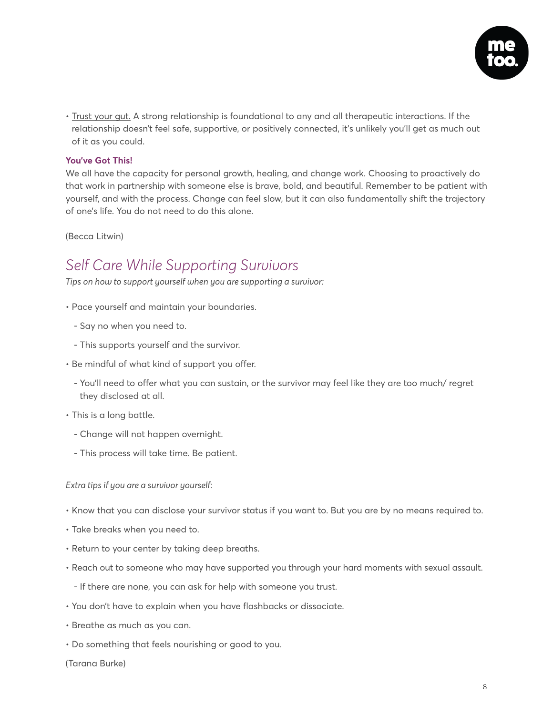

• Trust your gut. A strong relationship is foundational to any and all therapeutic interactions. If the relationship doesn't feel safe, supportive, or positively connected, it's unlikely you'll get as much out of it as you could.

### **You've Got This!**

We all have the capacity for personal growth, healing, and change work. Choosing to proactively do that work in partnership with someone else is brave, bold, and beautiful. Remember to be patient with yourself, and with the process. Change can feel slow, but it can also fundamentally shift the trajectory of one's life. You do not need to do this alone.

(Becca Litwin)

# *Self Care While Supporting Survivors*

*Tips on how to support yourself when you are supporting a survivor:*

- Pace yourself and maintain your boundaries.
	- Say no when you need to.
	- This supports yourself and the survivor.
- Be mindful of what kind of support you offer.
	- You'll need to offer what you can sustain, or the survivor may feel like they are too much/ regret they disclosed at all.
- This is a long battle.
	- Change will not happen overnight.
	- This process will take time. Be patient.

*Extra tips if you are a survivor yourself:*

- Know that you can disclose your survivor status if you want to. But you are by no means required to.
- Take breaks when you need to.
- Return to your center by taking deep breaths.
- Reach out to someone who may have supported you through your hard moments with sexual assault.
	- If there are none, you can ask for help with someone you trust.
- You don't have to explain when you have flashbacks or dissociate.
- Breathe as much as you can.
- Do something that feels nourishing or good to you.

(Tarana Burke)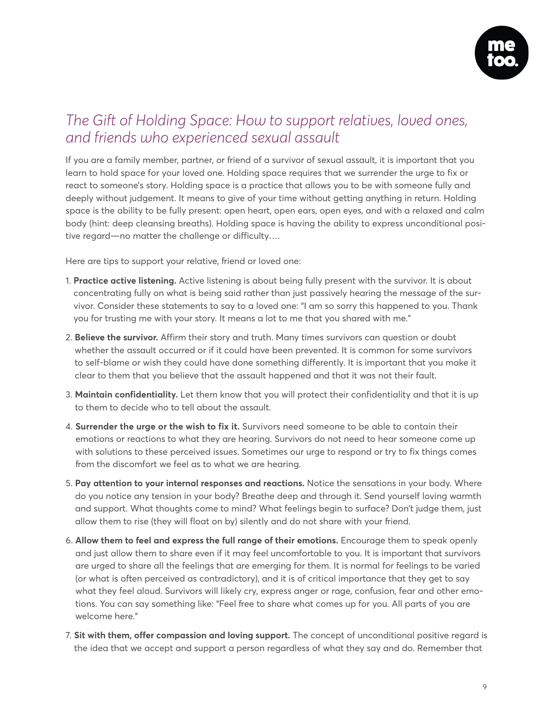

# *The Gift of Holding Space: How to support relatives, loved ones, and friends who experienced sexual assault*

If you are a family member, partner, or friend of a survivor of sexual assault, it is important that you learn to hold space for your loved one. Holding space requires that we surrender the urge to fix or react to someone's story. Holding space is a practice that allows you to be with someone fully and deeply without judgement. It means to give of your time without getting anything in return. Holding space is the ability to be fully present: open heart, open ears, open eyes, and with a relaxed and calm body (hint: deep cleansing breaths). Holding space is having the ability to express unconditional positive regard—no matter the challenge or difficulty….

Here are tips to support your relative, friend or loved one:

- 1. **Practice active listening.** Active listening is about being fully present with the survivor. It is about concentrating fully on what is being said rather than just passively hearing the message of the survivor. Consider these statements to say to a loved one: "I am so sorry this happened to you. Thank you for trusting me with your story. It means a lot to me that you shared with me."
- 2. **Believe the survivor.** Affirm their story and truth. Many times survivors can question or doubt whether the assault occurred or if it could have been prevented. It is common for some survivors to self-blame or wish they could have done something differently. It is important that you make it clear to them that you believe that the assault happened and that it was not their fault.
- 3. **Maintain confidentiality.** Let them know that you will protect their confidentiality and that it is up to them to decide who to tell about the assault.
- 4. **Surrender the urge or the wish to fix it.** Survivors need someone to be able to contain their emotions or reactions to what they are hearing. Survivors do not need to hear someone come up with solutions to these perceived issues. Sometimes our urge to respond or try to fix things comes from the discomfort we feel as to what we are hearing.
- 5. **Pay attention to your internal responses and reactions.** Notice the sensations in your body. Where do you notice any tension in your body? Breathe deep and through it. Send yourself loving warmth and support. What thoughts come to mind? What feelings begin to surface? Don't judge them, just allow them to rise (they will float on by) silently and do not share with your friend.
- 6. **Allow them to feel and express the full range of their emotions.** Encourage them to speak openly and just allow them to share even if it may feel uncomfortable to you. It is important that survivors are urged to share all the feelings that are emerging for them. It is normal for feelings to be varied (or what is often perceived as contradictory), and it is of critical importance that they get to say what they feel aloud. Survivors will likely cry, express anger or rage, confusion, fear and other emotions. You can say something like: "Feel free to share what comes up for you. All parts of you are welcome here."
- 7. **Sit with them, offer compassion and loving support.** The concept of unconditional positive regard is the idea that we accept and support a person regardless of what they say and do. Remember that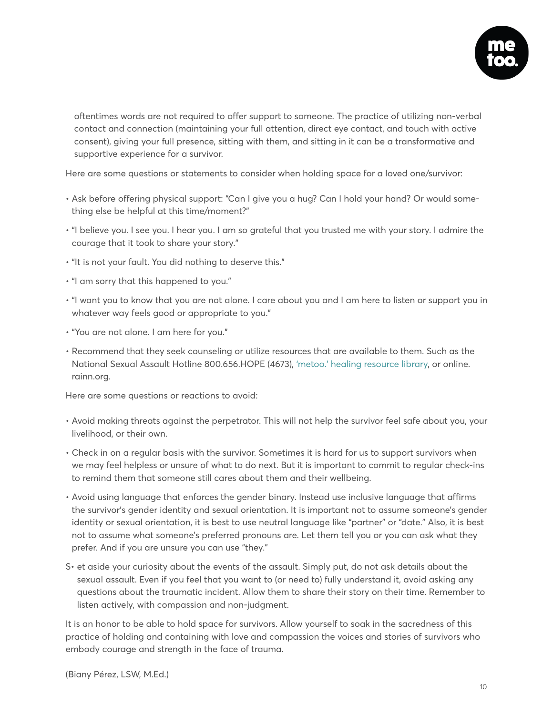

oftentimes words are not required to offer support to someone. The practice of utilizing non-verbal contact and connection (maintaining your full attention, direct eye contact, and touch with active consent), giving your full presence, sitting with them, and sitting in it can be a transformative and supportive experience for a survivor.

Here are some questions or statements to consider when holding space for a loved one/survivor:

- Ask before offering physical support: "Can I give you a hug? Can I hold your hand? Or would something else be helpful at this time/moment?"
- "I believe you. I see you. I hear you. I am so grateful that you trusted me with your story. I admire the courage that it took to share your story."
- "It is not your fault. You did nothing to deserve this."
- "I am sorry that this happened to you."
- "I want you to know that you are not alone. I care about you and I am here to listen or support you in whatever way feels good or appropriate to you."
- "You are not alone. I am here for you."
- Recommend that they seek counseling or utilize resources that are available to them. Such as the National Sexual Assault Hotline 800.656.HOPE (4673), ['metoo.' healing resource library,](https://metoomvmt.org/healing-resources-library/) or online. rainn.org.

Here are some questions or reactions to avoid:

- Avoid making threats against the perpetrator. This will not help the survivor feel safe about you, your livelihood, or their own.
- Check in on a regular basis with the survivor. Sometimes it is hard for us to support survivors when we may feel helpless or unsure of what to do next. But it is important to commit to regular check-ins to remind them that someone still cares about them and their wellbeing.
- Avoid using language that enforces the gender binary. Instead use inclusive language that affirms the survivor's gender identity and sexual orientation. It is important not to assume someone's gender identity or sexual orientation, it is best to use neutral language like "partner" or "date." Also, it is best not to assume what someone's preferred pronouns are. Let them tell you or you can ask what they prefer. And if you are unsure you can use "they."
- S• et aside your curiosity about the events of the assault. Simply put, do not ask details about the sexual assault. Even if you feel that you want to (or need to) fully understand it, avoid asking any questions about the traumatic incident. Allow them to share their story on their time. Remember to listen actively, with compassion and non-judgment.

It is an honor to be able to hold space for survivors. Allow yourself to soak in the sacredness of this practice of holding and containing with love and compassion the voices and stories of survivors who embody courage and strength in the face of trauma.